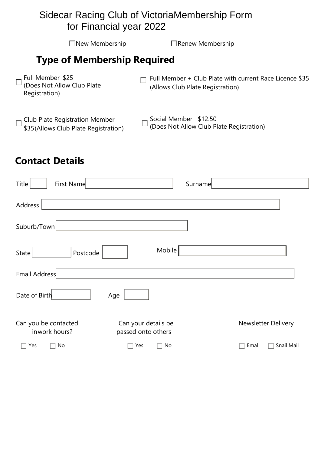#### Sidecar Racing Club of VictoriaMembership Form for Financial year 2022

 $\Box$ New Membership  $\Box$ Renew Membership **Type of Membership Required**  Full Member \$25  $\Box$  Full Member + Club Plate with current Race Licence \$35 (Does Not Allow Club Plate  $\Box$ (Allows Club Plate Registration) Registration) Social Member \$12.50 Club Plate Registration Member \$35(Allows Club Plate Registration) (Does Not Allow Club Plate Registration)

# **Contact Details**

| Title<br>First Name                   |                                           | Surname |                            |
|---------------------------------------|-------------------------------------------|---------|----------------------------|
| Address                               |                                           |         |                            |
| Suburb/Town                           |                                           |         |                            |
| Postcode<br>State                     | Mobile                                    |         |                            |
| Email Address                         |                                           |         |                            |
| Date of Birth<br>Age                  |                                           |         |                            |
| Can you be contacted<br>inwork hours? | Can your details be<br>passed onto others |         | <b>Newsletter Delivery</b> |
| No<br>Yes                             | No<br>Yes                                 |         | Snail Mail<br>Emal         |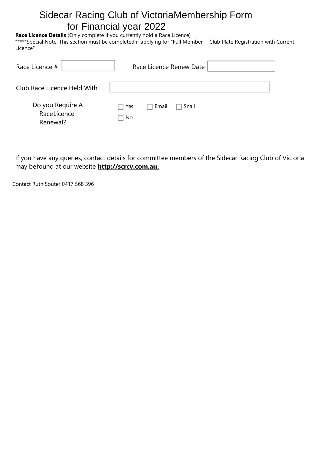# Sidecar Racing Club of VictoriaMembership Form for Financial year 2022

#### **Race Licence Details** (Only complete if you currently hold a Race Licence)

\*\*\*\*\*Special Note: This section must be completed if applying for "Full Member + Club Plate Registration with Current Licence"

| Race Licence #                              | Race Licence Renew Date                       |
|---------------------------------------------|-----------------------------------------------|
| Club Race Licence Held With                 |                                               |
| Do you Require A<br>RaceLicence<br>Renewal? | Email<br>Yes<br>Snail<br>l.<br>  No<br>and in |

If you have any queries, contact details for committee members of the Sidecar Racing Club of Victoria may befound at our website **[http://scrcv.com.au.](http://scrcv.com.au/)**

Contact Ruth Souter 0417 568 396